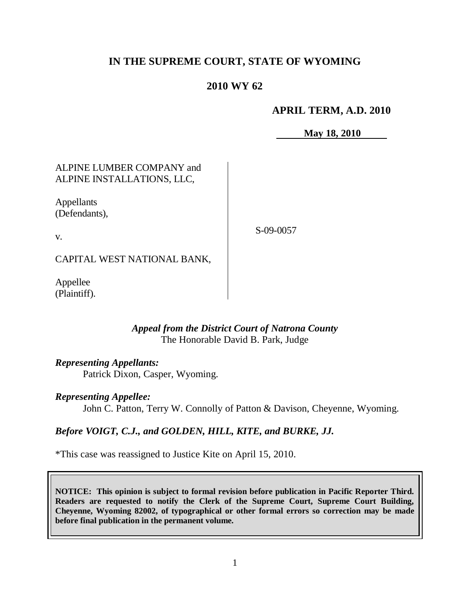# **IN THE SUPREME COURT, STATE OF WYOMING**

## **2010 WY 62**

### **APRIL TERM, A.D. 2010**

**May 18, 2010**

## ALPINE LUMBER COMPANY and ALPINE INSTALLATIONS, LLC,

Appellants (Defendants),

S-09-0057

CAPITAL WEST NATIONAL BANK,

Appellee (Plaintiff).

v.

## *Appeal from the District Court of Natrona County* The Honorable David B. Park, Judge

### *Representing Appellants:*

Patrick Dixon, Casper, Wyoming.

### *Representing Appellee:*

John C. Patton, Terry W. Connolly of Patton & Davison, Cheyenne, Wyoming.

## *Before VOIGT, C.J., and GOLDEN, HILL, KITE, and BURKE, JJ.*

\*This case was reassigned to Justice Kite on April 15, 2010.

**NOTICE: This opinion is subject to formal revision before publication in Pacific Reporter Third. Readers are requested to notify the Clerk of the Supreme Court, Supreme Court Building, Cheyenne, Wyoming 82002, of typographical or other formal errors so correction may be made before final publication in the permanent volume.**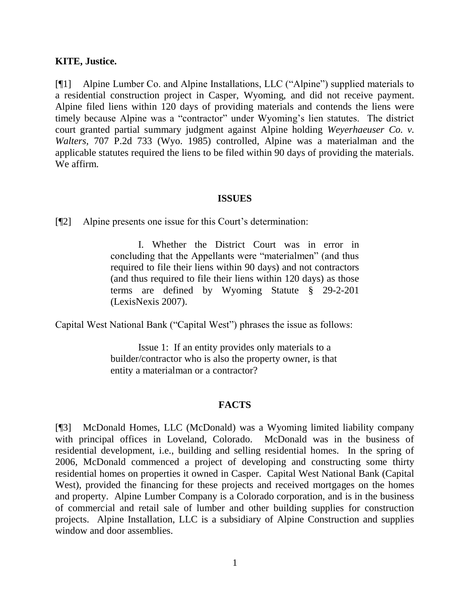### **KITE, Justice.**

[¶1] Alpine Lumber Co. and Alpine Installations, LLC ("Alpine") supplied materials to a residential construction project in Casper, Wyoming, and did not receive payment. Alpine filed liens within 120 days of providing materials and contends the liens were timely because Alpine was a "contractor" under Wyoming's lien statutes. The district court granted partial summary judgment against Alpine holding *Weyerhaeuser Co. v. Walters,* 707 P.2d 733 (Wyo. 1985) controlled, Alpine was a materialman and the applicable statutes required the liens to be filed within 90 days of providing the materials. We affirm.

#### **ISSUES**

[¶2] Alpine presents one issue for this Court's determination:

I. Whether the District Court was in error in concluding that the Appellants were "materialmen" (and thus required to file their liens within 90 days) and not contractors (and thus required to file their liens within 120 days) as those terms are defined by Wyoming Statute § 29-2-201 (LexisNexis 2007).

Capital West National Bank ("Capital West") phrases the issue as follows:

Issue 1: If an entity provides only materials to a builder/contractor who is also the property owner, is that entity a materialman or a contractor?

#### **FACTS**

[¶3] McDonald Homes, LLC (McDonald) was a Wyoming limited liability company with principal offices in Loveland, Colorado. McDonald was in the business of residential development, i.e., building and selling residential homes. In the spring of 2006, McDonald commenced a project of developing and constructing some thirty residential homes on properties it owned in Casper. Capital West National Bank (Capital West), provided the financing for these projects and received mortgages on the homes and property. Alpine Lumber Company is a Colorado corporation, and is in the business of commercial and retail sale of lumber and other building supplies for construction projects. Alpine Installation, LLC is a subsidiary of Alpine Construction and supplies window and door assemblies.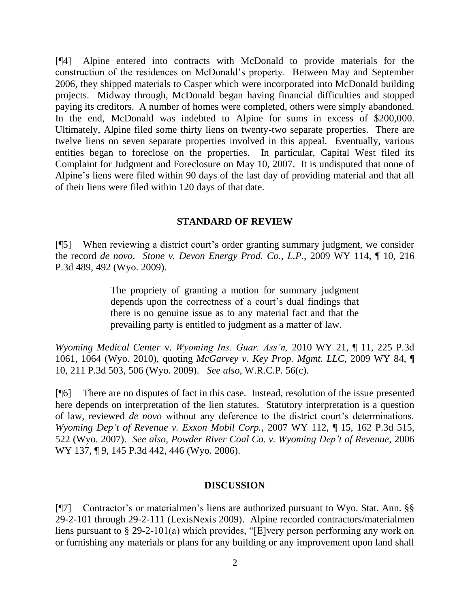[¶4] Alpine entered into contracts with McDonald to provide materials for the construction of the residences on McDonald"s property. Between May and September 2006, they shipped materials to Casper which were incorporated into McDonald building projects. Midway through, McDonald began having financial difficulties and stopped paying its creditors. A number of homes were completed, others were simply abandoned. In the end, McDonald was indebted to Alpine for sums in excess of \$200,000. Ultimately, Alpine filed some thirty liens on twenty-two separate properties. There are twelve liens on seven separate properties involved in this appeal. Eventually, various entities began to foreclose on the properties. In particular, Capital West filed its Complaint for Judgment and Foreclosure on May 10, 2007. It is undisputed that none of Alpine"s liens were filed within 90 days of the last day of providing material and that all of their liens were filed within 120 days of that date.

#### **STANDARD OF REVIEW**

[¶5] When reviewing a district court"s order granting summary judgment, we consider the record *de novo*. *Stone v. Devon Energy Prod. Co., L.P.,* 2009 WY 114, ¶ 10, 216 P.3d 489, 492 (Wyo. 2009).

> The propriety of granting a motion for summary judgment depends upon the correctness of a court's dual findings that there is no genuine issue as to any material fact and that the prevailing party is entitled to judgment as a matter of law.

*Wyoming Medical Center* v. *Wyoming Ins. Guar. Ass'n,* 2010 WY 21, ¶ 11, 225 P.3d 1061, 1064 (Wyo. 2010), quoting *McGarvey v. Key Prop. Mgmt. LLC*, 2009 WY 84, ¶ 10, 211 P.3d 503, 506 (Wyo. 2009). *See also*, W.R.C.P. 56(c).

[¶6] There are no disputes of fact in this case. Instead, resolution of the issue presented here depends on interpretation of the lien statutes. Statutory interpretation is a question of law, reviewed *de novo* without any deference to the district court"s determinations*. Wyoming Dep't of Revenue v. Exxon Mobil Corp.,* 2007 WY 112, ¶ 15, 162 P.3d 515, 522 (Wyo. 2007). *See also, Powder River Coal Co. v. Wyoming Dep't of Revenue,* [2006](http://www.westlaw.com/Find/Default.wl?rs=dfa1.0&vr=2.0&DB=4645&FindType=Y&ReferencePositionType=S&SerialNum=2010554566&ReferencePosition=446)  WY 137, 19, 145 P.3d 442, 446 (Wyo. 2006).

#### **DISCUSSION**

[¶7] Contractor's or materialmen's liens are authorized pursuant to Wyo. Stat. Ann. §§ 29-2-101 through 29-2-111 (LexisNexis 2009). Alpine recorded contractors/materialmen liens pursuant to § 29-2-101(a) which provides, "[E]very person performing any work on or furnishing any materials or plans for any building or any improvement upon land shall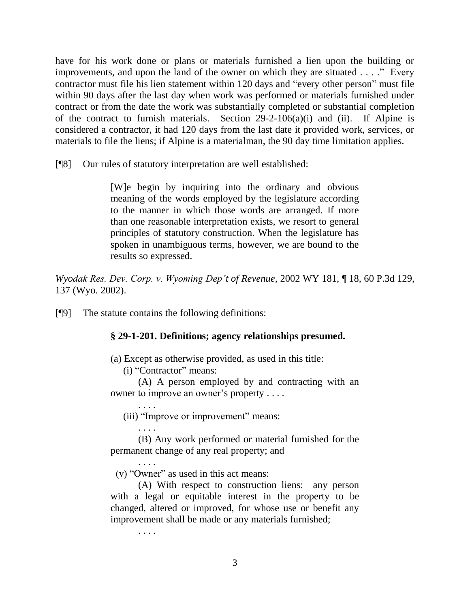have for his work done or plans or materials furnished a lien upon the building or improvements, and upon the land of the owner on which they are situated . . . ." Every contractor must file his lien statement within 120 days and "every other person" must file within 90 days after the last day when work was performed or materials furnished under contract or from the date the work was substantially completed or substantial completion of the contract to furnish materials. Section  $29-2-106(a)(i)$  and (ii). If Alpine is considered a contractor, it had 120 days from the last date it provided work, services, or materials to file the liens; if Alpine is a materialman, the 90 day time limitation applies.

[¶8] Our rules of statutory interpretation are well established:

[W]e begin by inquiring into the ordinary and obvious meaning of the words employed by the legislature according to the manner in which those words are arranged. If more than one reasonable interpretation exists, we resort to general principles of statutory construction. When the legislature has spoken in unambiguous terms, however, we are bound to the results so expressed.

*Wyodak Res. Dev. Corp. v. Wyoming Dep't of Revenue,* [2002 WY 181, ¶ 18, 60 P.3d 129,](http://www.westlaw.com/Find/Default.wl?rs=dfa1.0&vr=2.0&DB=4645&FindType=Y&ReferencePositionType=S&SerialNum=2002781005&ReferencePosition=135)  137 [\(Wyo.](http://www.westlaw.com/Find/Default.wl?rs=dfa1.0&vr=2.0&DB=4645&FindType=Y&ReferencePositionType=S&SerialNum=2002781005&ReferencePosition=135) 2002).

[¶9] The statute contains the following definitions:

### **§ 29-1-201. Definitions; agency relationships presumed.**

(a) Except as otherwise provided, as used in this title:

(i) "Contractor" means:

(A) A person employed by and contracting with an owner to improve an owner's property . . . .

(iii) "Improve or improvement" means:

. . . . (B) Any work performed or material furnished for the permanent change of any real property; and

. . . . (v) "Owner" as used in this act means:

(A) With respect to construction liens: any person with a legal or equitable interest in the property to be changed, altered or improved, for whose use or benefit any improvement shall be made or any materials furnished;

. . . .

. . . .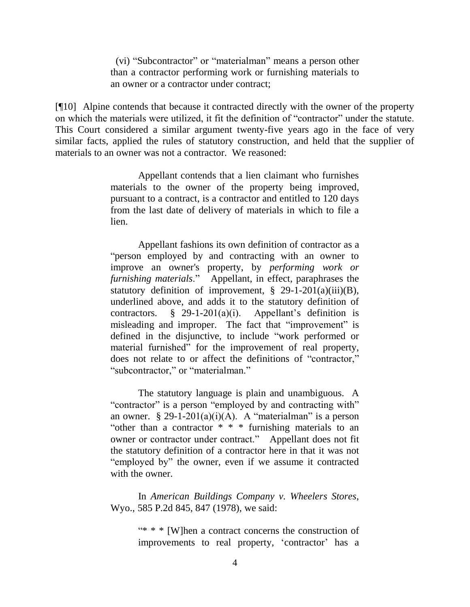(vi) "Subcontractor" or "materialman" means a person other than a contractor performing work or furnishing materials to an owner or a contractor under contract;

[¶10] Alpine contends that because it contracted directly with the owner of the property on which the materials were utilized, it fit the definition of "contractor" under the statute. This Court considered a similar argument twenty-five years ago in the face of very similar facts, applied the rules of statutory construction, and held that the supplier of materials to an owner was not a contractor. We reasoned:

> Appellant contends that a lien claimant who furnishes materials to the owner of the property being improved, pursuant to a contract, is a contractor and entitled to 120 days from the last date of delivery of materials in which to file a lien.

> Appellant fashions its own definition of contractor as a "person employed by and contracting with an owner to improve an owner's property, by *performing work or furnishing materials*." Appellant, in effect, paraphrases the statutory definition of improvement,  $\S$  29-1-201(a)(iii)(B), underlined above, and adds it to the statutory definition of contractors.  $\S$  29-1-201(a)(i). Appellant's definition is misleading and improper. The fact that "improvement" is defined in the disjunctive, to include "work performed or material furnished" for the improvement of real property, does not relate to or affect the definitions of "contractor," "subcontractor," or "materialman."

> The statutory language is plain and unambiguous. A "contractor" is a person "employed by and contracting with" an owner. § 29-1-201(a)(i)(A). A "materialman" is a person "other than a contractor  $* * *$  furnishing materials to an owner or contractor under contract." Appellant does not fit the statutory definition of a contractor here in that it was not "employed by" the owner, even if we assume it contracted with the owner.

> In *American Buildings Company v. Wheelers Stores*, Wyo., 585 P.2d 845, 847 (1978), we said:

> > "\* \* \* [W]hen a contract concerns the construction of improvements to real property, 'contractor' has a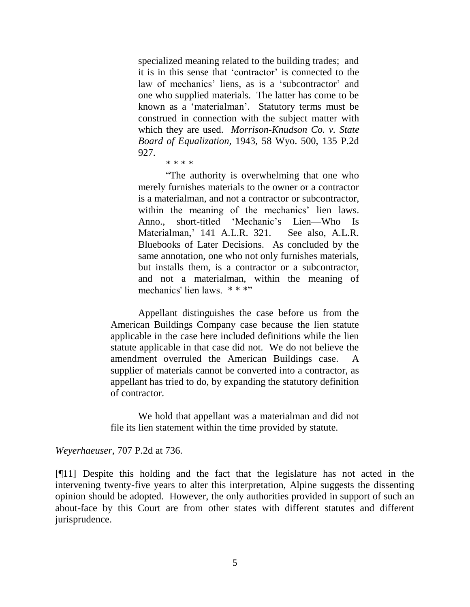specialized meaning related to the building trades; and it is in this sense that 'contractor' is connected to the law of mechanics' liens, as is a 'subcontractor' and one who supplied materials. The latter has come to be known as a "materialman". Statutory terms must be construed in connection with the subject matter with which they are used. *Morrison-Knudson Co. v. State Board of Equalization*, 1943, 58 Wyo. 500, 135 P.2d 927.

"The authority is overwhelming that one who merely furnishes materials to the owner or a contractor is a materialman, and not a contractor or subcontractor, within the meaning of the mechanics' lien laws. Anno., short-titled "Mechanic"s Lien—Who Is Materialman," 141 A.L.R. 321. See also, A.L.R. Bluebooks of Later Decisions. As concluded by the same annotation, one who not only furnishes materials, but installs them, is a contractor or a subcontractor, and not a materialman, within the meaning of mechanics' lien laws. \* \* \*"

Appellant distinguishes the case before us from the American Buildings Company case because the lien statute applicable in the case here included definitions while the lien statute applicable in that case did not. We do not believe the amendment overruled the American Buildings case. A supplier of materials cannot be converted into a contractor, as appellant has tried to do, by expanding the statutory definition of contractor.

We hold that appellant was a materialman and did not file its lien statement within the time provided by statute.

*Weyerhaeuser,* 707 P.2d at 736.

[¶11] Despite this holding and the fact that the legislature has not acted in the intervening twenty-five years to alter this interpretation, Alpine suggests the dissenting opinion should be adopted. However, the only authorities provided in support of such an about-face by this Court are from other states with different statutes and different jurisprudence.

<sup>\* \* \* \*</sup>